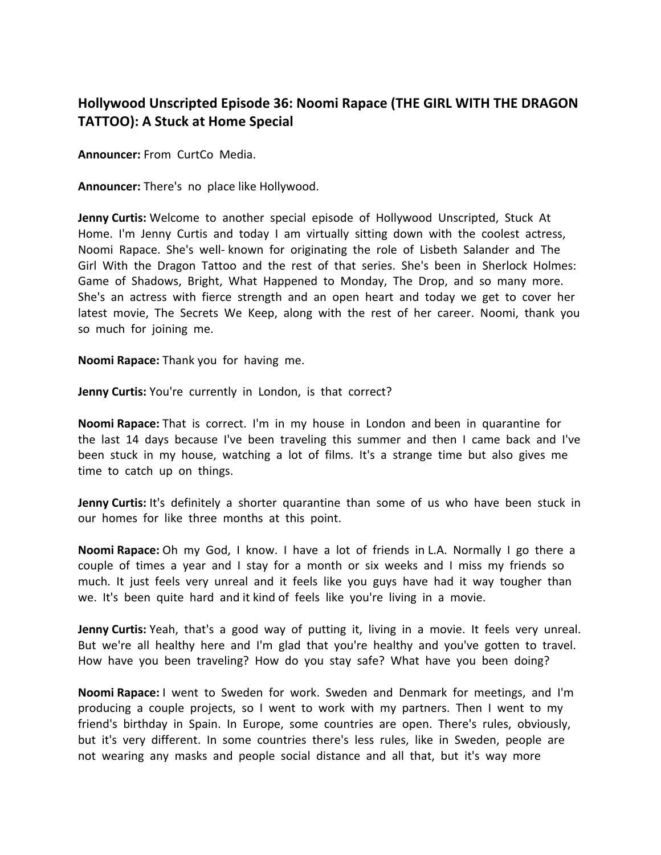## **Hollywood Unscripted Episode 36: Noomi Rapace (THE GIRL WITH THE DRAGON TATTOO): A Stuck at Home Special**

**Announcer:** From CurtCo Media.

**Announcer:** There's no place like Hollywood.

**Jenny Curtis:** Welcome to another special episode of Hollywood Unscripted, Stuck At Home. I'm Jenny Curtis and today I am virtually sitting down with the coolest actress, Noomi Rapace. She's well- known for originating the role of Lisbeth Salander and The Girl With the Dragon Tattoo and the rest of that series. She's been in Sherlock Holmes: Game of Shadows, Bright, What Happened to Monday, The Drop, and so many more. She's an actress with fierce strength and an open heart and today we get to cover her latest movie, The Secrets We Keep, along with the rest of her career. Noomi, thank you so much for joining me.

**Noomi Rapace:** Thank you for having me.

**Jenny Curtis:** You're currently in London, is that correct?

**Noomi Rapace:** That is correct. I'm in my house in London and been in quarantine for the last 14 days because I've been traveling this summer and then I came back and I've been stuck in my house, watching a lot of films. It's a strange time but also gives me time to catch up on things.

**Jenny Curtis:** It's definitely a shorter quarantine than some of us who have been stuck in our homes for like three months at this point.

**Noomi Rapace:** Oh my God, I know. I have a lot of friends in L.A. Normally I go there a couple of times a year and I stay for a month or six weeks and I miss my friends so much. It just feels very unreal and it feels like you guys have had it way tougher than we. It's been quite hard and it kind of feels like you're living in a movie.

**Jenny Curtis:** Yeah, that's a good way of putting it, living in a movie. It feels very unreal. But we're all healthy here and I'm glad that you're healthy and you've gotten to travel. How have you been traveling? How do you stay safe? What have you been doing?

**Noomi Rapace:** I went to Sweden for work. Sweden and Denmark for meetings, and I'm producing a couple projects, so I went to work with my partners. Then I went to my friend's birthday in Spain. In Europe, some countries are open. There's rules, obviously, but it's very different. In some countries there's less rules, like in Sweden, people are not wearing any masks and people social distance and all that, but it's way more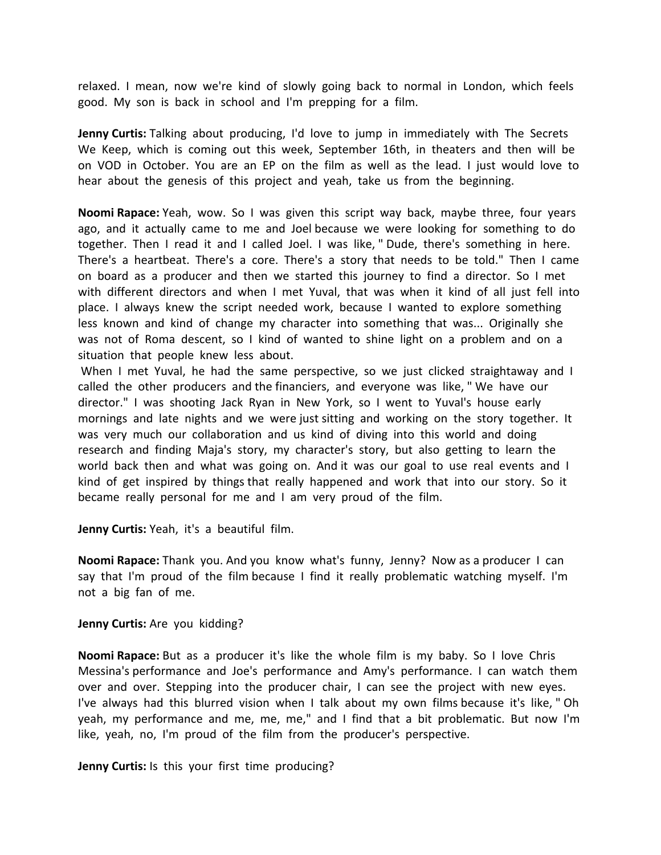relaxed. I mean, now we're kind of slowly going back to normal in London, which feels good. My son is back in school and I'm prepping for a film.

**Jenny Curtis:** Talking about producing, I'd love to jump in immediately with The Secrets We Keep, which is coming out this week, September 16th, in theaters and then will be on VOD in October. You are an EP on the film as well as the lead. I just would love to hear about the genesis of this project and yeah, take us from the beginning.

**Noomi Rapace:** Yeah, wow. So I was given this script way back, maybe three, four years ago, and it actually came to me and Joel because we were looking for something to do together. Then I read it and I called Joel. I was like, " Dude, there's something in here. There's a heartbeat. There's a core. There's a story that needs to be told." Then I came on board as a producer and then we started this journey to find a director. So I met with different directors and when I met Yuval, that was when it kind of all just fell into place. I always knew the script needed work, because I wanted to explore something less known and kind of change my character into something that was... Originally she was not of Roma descent, so I kind of wanted to shine light on a problem and on a situation that people knew less about.

When I met Yuval, he had the same perspective, so we just clicked straightaway and I called the other producers and the financiers, and everyone was like, " We have our director." I was shooting Jack Ryan in New York, so I went to Yuval's house early mornings and late nights and we were just sitting and working on the story together. It was very much our collaboration and us kind of diving into this world and doing research and finding Maja's story, my character's story, but also getting to learn the world back then and what was going on. And it was our goal to use real events and I kind of get inspired by things that really happened and work that into our story. So it became really personal for me and I am very proud of the film.

**Jenny Curtis:** Yeah, it's a beautiful film.

**Noomi Rapace:** Thank you. And you know what's funny, Jenny? Now as a producer I can say that I'm proud of the film because I find it really problematic watching myself. I'm not a big fan of me.

**Jenny Curtis:** Are you kidding?

**Noomi Rapace:** But as a producer it's like the whole film is my baby. So I love Chris Messina's performance and Joe's performance and Amy's performance. I can watch them over and over. Stepping into the producer chair, I can see the project with new eyes. I've always had this blurred vision when I talk about my own films because it's like, " Oh yeah, my performance and me, me, me," and I find that a bit problematic. But now I'm like, yeah, no, I'm proud of the film from the producer's perspective.

**Jenny Curtis:** Is this your first time producing?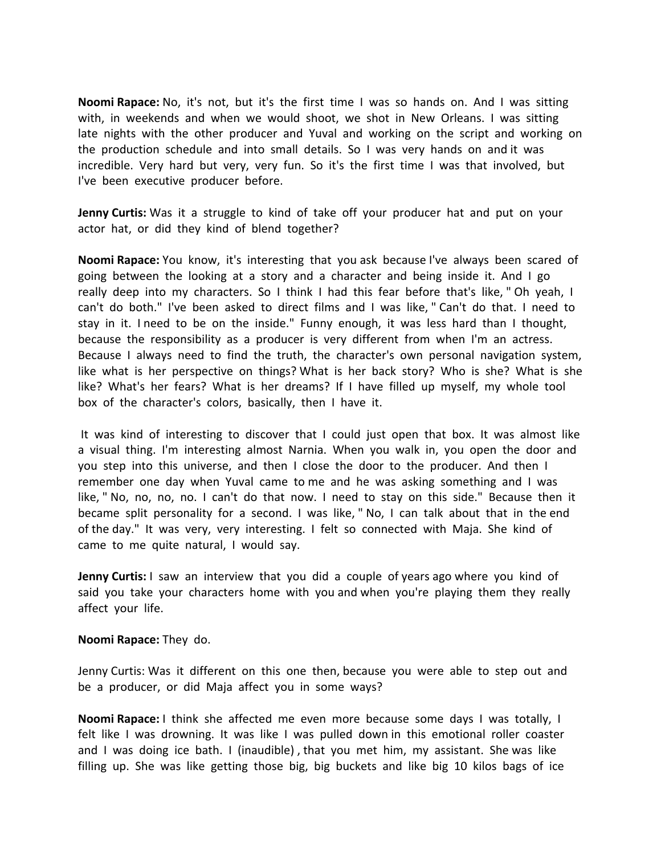**Noomi Rapace:** No, it's not, but it's the first time I was so hands on. And I was sitting with, in weekends and when we would shoot, we shot in New Orleans. I was sitting late nights with the other producer and Yuval and working on the script and working on the production schedule and into small details. So I was very hands on and it was incredible. Very hard but very, very fun. So it's the first time I was that involved, but I've been executive producer before.

**Jenny Curtis:** Was it a struggle to kind of take off your producer hat and put on your actor hat, or did they kind of blend together?

**Noomi Rapace:** You know, it's interesting that you ask because I've always been scared of going between the looking at a story and a character and being inside it. And I go really deep into my characters. So I think I had this fear before that's like, " Oh yeah, I can't do both." I've been asked to direct films and I was like, " Can't do that. I need to stay in it. I need to be on the inside." Funny enough, it was less hard than I thought, because the responsibility as a producer is very different from when I'm an actress. Because I always need to find the truth, the character's own personal navigation system, like what is her perspective on things? What is her back story? Who is she? What is she like? What's her fears? What is her dreams? If I have filled up myself, my whole tool box of the character's colors, basically, then I have it.

It was kind of interesting to discover that I could just open that box. It was almost like a visual thing. I'm interesting almost Narnia. When you walk in, you open the door and you step into this universe, and then I close the door to the producer. And then I remember one day when Yuval came to me and he was asking something and I was like, " No, no, no, no. I can't do that now. I need to stay on this side." Because then it became split personality for a second. I was like, " No, I can talk about that in the end of the day." It was very, very interesting. I felt so connected with Maja. She kind of came to me quite natural, I would say.

**Jenny Curtis:** I saw an interview that you did a couple of years ago where you kind of said you take your characters home with you and when you're playing them they really affect your life.

## **Noomi Rapace:** They do.

Jenny Curtis: Was it different on this one then, because you were able to step out and be a producer, or did Maja affect you in some ways?

**Noomi Rapace:** I think she affected me even more because some days I was totally, I felt like I was drowning. It was like I was pulled down in this emotional roller coaster and I was doing ice bath. I (inaudible) , that you met him, my assistant. She was like filling up. She was like getting those big, big buckets and like big 10 kilos bags of ice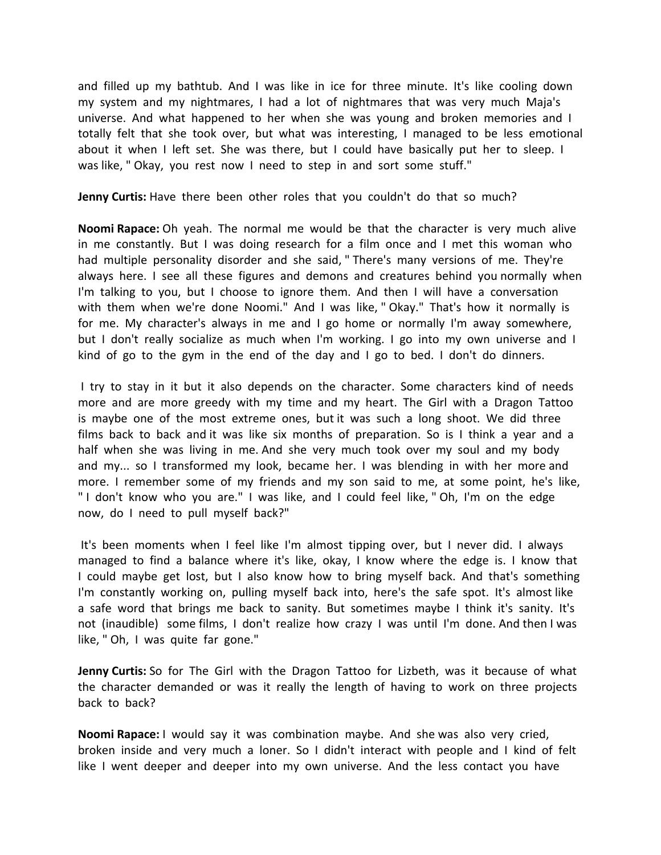and filled up my bathtub. And I was like in ice for three minute. It's like cooling down my system and my nightmares, I had a lot of nightmares that was very much Maja's universe. And what happened to her when she was young and broken memories and I totally felt that she took over, but what was interesting, I managed to be less emotional about it when I left set. She was there, but I could have basically put her to sleep. I was like, " Okay, you rest now I need to step in and sort some stuff."

**Jenny Curtis:** Have there been other roles that you couldn't do that so much?

**Noomi Rapace:** Oh yeah. The normal me would be that the character is very much alive in me constantly. But I was doing research for a film once and I met this woman who had multiple personality disorder and she said, " There's many versions of me. They're always here. I see all these figures and demons and creatures behind you normally when I'm talking to you, but I choose to ignore them. And then I will have a conversation with them when we're done Noomi." And I was like, " Okay." That's how it normally is for me. My character's always in me and I go home or normally I'm away somewhere, but I don't really socialize as much when I'm working. I go into my own universe and I kind of go to the gym in the end of the day and I go to bed. I don't do dinners.

I try to stay in it but it also depends on the character. Some characters kind of needs more and are more greedy with my time and my heart. The Girl with a Dragon Tattoo is maybe one of the most extreme ones, but it was such a long shoot. We did three films back to back and it was like six months of preparation. So is I think a year and a half when she was living in me. And she very much took over my soul and my body and my... so I transformed my look, became her. I was blending in with her more and more. I remember some of my friends and my son said to me, at some point, he's like, " I don't know who you are." I was like, and I could feel like, " Oh, I'm on the edge now, do I need to pull myself back?"

It's been moments when I feel like I'm almost tipping over, but I never did. I always managed to find a balance where it's like, okay, I know where the edge is. I know that I could maybe get lost, but I also know how to bring myself back. And that's something I'm constantly working on, pulling myself back into, here's the safe spot. It's almost like a safe word that brings me back to sanity. But sometimes maybe I think it's sanity. It's not (inaudible) some films, I don't realize how crazy I was until I'm done. And then I was like, " Oh, I was quite far gone."

**Jenny Curtis:** So for The Girl with the Dragon Tattoo for Lizbeth, was it because of what the character demanded or was it really the length of having to work on three projects back to back?

**Noomi Rapace:** I would say it was combination maybe. And she was also very cried, broken inside and very much a loner. So I didn't interact with people and I kind of felt like I went deeper and deeper into my own universe. And the less contact you have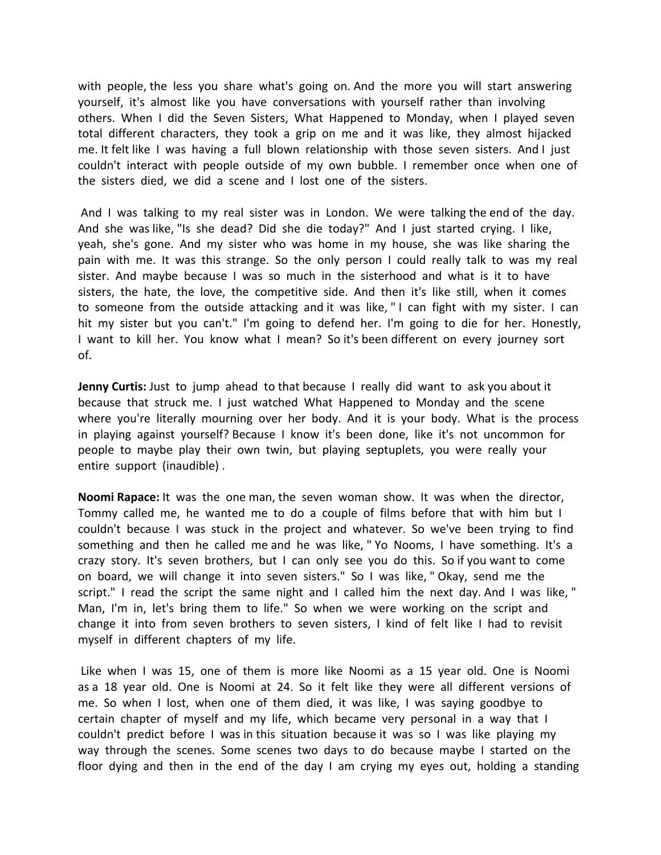with people, the less you share what's going on. And the more you will start answering yourself, it's almost like you have conversations with yourself rather than involving others. When I did the Seven Sisters, What Happened to Monday, when I played seven total different characters, they took a grip on me and it was like, they almost hijacked me. It felt like I was having a full blown relationship with those seven sisters. And I just couldn't interact with people outside of my own bubble. I remember once when one of the sisters died, we did a scene and I lost one of the sisters.

And I was talking to my real sister was in London. We were talking the end of the day. And she was like, "Is she dead? Did she die today?" And I just started crying. I like, yeah, she's gone. And my sister who was home in my house, she was like sharing the pain with me. It was this strange. So the only person I could really talk to was my real sister. And maybe because I was so much in the sisterhood and what is it to have sisters, the hate, the love, the competitive side. And then it's like still, when it comes to someone from the outside attacking and it was like, " I can fight with my sister. I can hit my sister but you can't." I'm going to defend her. I'm going to die for her. Honestly, I want to kill her. You know what I mean? So it's been different on every journey sort of.

**Jenny Curtis:** Just to jump ahead to that because I really did want to ask you about it because that struck me. I just watched What Happened to Monday and the scene where you're literally mourning over her body. And it is your body. What is the process in playing against yourself? Because I know it's been done, like it's not uncommon for people to maybe play their own twin, but playing septuplets, you were really your entire support (inaudible) .

**Noomi Rapace:** It was the one man, the seven woman show. It was when the director, Tommy called me, he wanted me to do a couple of films before that with him but I couldn't because I was stuck in the project and whatever. So we've been trying to find something and then he called me and he was like, " Yo Nooms, I have something. It's a crazy story. It's seven brothers, but I can only see you do this. So if you want to come on board, we will change it into seven sisters." So I was like, " Okay, send me the script." I read the script the same night and I called him the next day. And I was like, " Man, I'm in, let's bring them to life." So when we were working on the script and change it into from seven brothers to seven sisters, I kind of felt like I had to revisit myself in different chapters of my life.

Like when I was 15, one of them is more like Noomi as a 15 year old. One is Noomi as a 18 year old. One is Noomi at 24. So it felt like they were all different versions of me. So when I lost, when one of them died, it was like, I was saying goodbye to certain chapter of myself and my life, which became very personal in a way that I couldn't predict before I was in this situation because it was so I was like playing my way through the scenes. Some scenes two days to do because maybe I started on the floor dying and then in the end of the day I am crying my eyes out, holding a standing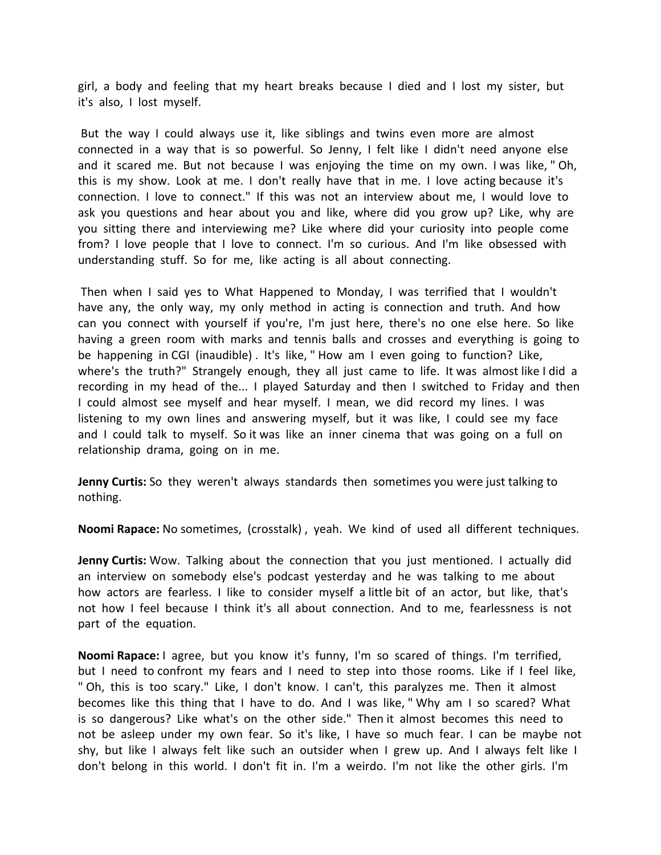girl, a body and feeling that my heart breaks because I died and I lost my sister, but it's also, I lost myself.

But the way I could always use it, like siblings and twins even more are almost connected in a way that is so powerful. So Jenny, I felt like I didn't need anyone else and it scared me. But not because I was enjoying the time on my own. I was like, " Oh, this is my show. Look at me. I don't really have that in me. I love acting because it's connection. I love to connect." If this was not an interview about me, I would love to ask you questions and hear about you and like, where did you grow up? Like, why are you sitting there and interviewing me? Like where did your curiosity into people come from? I love people that I love to connect. I'm so curious. And I'm like obsessed with understanding stuff. So for me, like acting is all about connecting.

Then when I said yes to What Happened to Monday, I was terrified that I wouldn't have any, the only way, my only method in acting is connection and truth. And how can you connect with yourself if you're, I'm just here, there's no one else here. So like having a green room with marks and tennis balls and crosses and everything is going to be happening in CGI (inaudible) . It's like, " How am I even going to function? Like, where's the truth?" Strangely enough, they all just came to life. It was almost like I did a recording in my head of the... I played Saturday and then I switched to Friday and then I could almost see myself and hear myself. I mean, we did record my lines. I was listening to my own lines and answering myself, but it was like, I could see my face and I could talk to myself. So it was like an inner cinema that was going on a full on relationship drama, going on in me.

**Jenny Curtis:** So they weren't always standards then sometimes you were just talking to nothing.

**Noomi Rapace:** No sometimes, (crosstalk) , yeah. We kind of used all different techniques.

**Jenny Curtis:** Wow. Talking about the connection that you just mentioned. I actually did an interview on somebody else's podcast yesterday and he was talking to me about how actors are fearless. I like to consider myself a little bit of an actor, but like, that's not how I feel because I think it's all about connection. And to me, fearlessness is not part of the equation.

**Noomi Rapace:** I agree, but you know it's funny, I'm so scared of things. I'm terrified, but I need to confront my fears and I need to step into those rooms. Like if I feel like, " Oh, this is too scary." Like, I don't know. I can't, this paralyzes me. Then it almost becomes like this thing that I have to do. And I was like, " Why am I so scared? What is so dangerous? Like what's on the other side." Then it almost becomes this need to not be asleep under my own fear. So it's like, I have so much fear. I can be maybe not shy, but like I always felt like such an outsider when I grew up. And I always felt like I don't belong in this world. I don't fit in. I'm a weirdo. I'm not like the other girls. I'm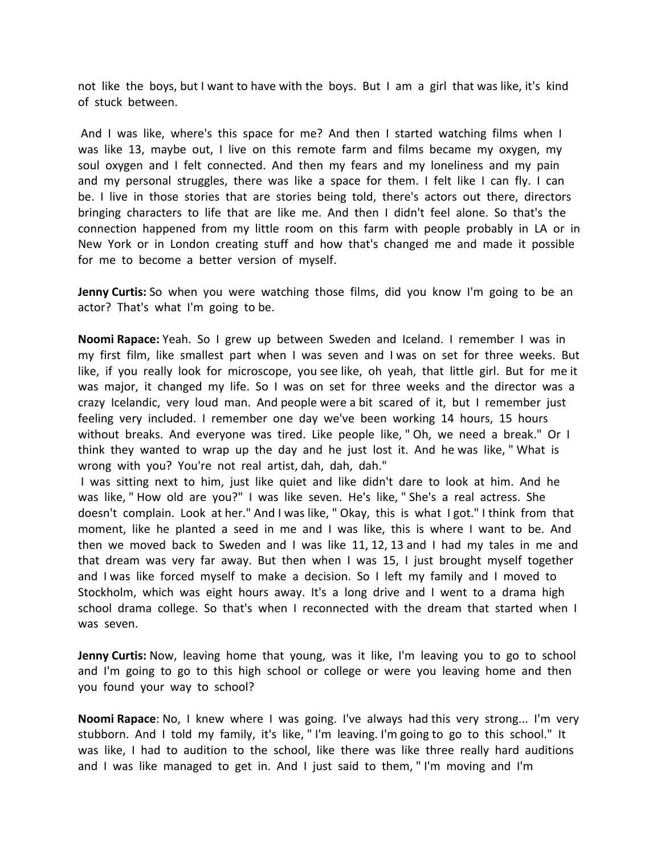not like the boys, but I want to have with the boys. But I am a girl that was like, it's kind of stuck between.

And I was like, where's this space for me? And then I started watching films when I was like 13, maybe out, I live on this remote farm and films became my oxygen, my soul oxygen and I felt connected. And then my fears and my loneliness and my pain and my personal struggles, there was like a space for them. I felt like I can fly. I can be. I live in those stories that are stories being told, there's actors out there, directors bringing characters to life that are like me. And then I didn't feel alone. So that's the connection happened from my little room on this farm with people probably in LA or in New York or in London creating stuff and how that's changed me and made it possible for me to become a better version of myself.

**Jenny Curtis:** So when you were watching those films, did you know I'm going to be an actor? That's what I'm going to be.

**Noomi Rapace:** Yeah. So I grew up between Sweden and Iceland. I remember I was in my first film, like smallest part when I was seven and I was on set for three weeks. But like, if you really look for microscope, you see like, oh yeah, that little girl. But for me it was major, it changed my life. So I was on set for three weeks and the director was a crazy Icelandic, very loud man. And people were a bit scared of it, but I remember just feeling very included. I remember one day we've been working 14 hours, 15 hours without breaks. And everyone was tired. Like people like, " Oh, we need a break." Or I think they wanted to wrap up the day and he just lost it. And he was like, " What is wrong with you? You're not real artist, dah, dah, dah."

I was sitting next to him, just like quiet and like didn't dare to look at him. And he was like, " How old are you?" I was like seven. He's like, " She's a real actress. She doesn't complain. Look at her." And I was like, " Okay, this is what I got." I think from that moment, like he planted a seed in me and I was like, this is where I want to be. And then we moved back to Sweden and I was like 11, 12, 13 and I had my tales in me and that dream was very far away. But then when I was 15, I just brought myself together and I was like forced myself to make a decision. So I left my family and I moved to Stockholm, which was eight hours away. It's a long drive and I went to a drama high school drama college. So that's when I reconnected with the dream that started when I was seven.

**Jenny Curtis:** Now, leaving home that young, was it like, I'm leaving you to go to school and I'm going to go to this high school or college or were you leaving home and then you found your way to school?

**Noomi Rapace**: No, I knew where I was going. I've always had this very strong... I'm very stubborn. And I told my family, it's like, " I'm leaving. I'm going to go to this school." It was like, I had to audition to the school, like there was like three really hard auditions and I was like managed to get in. And I just said to them, " I'm moving and I'm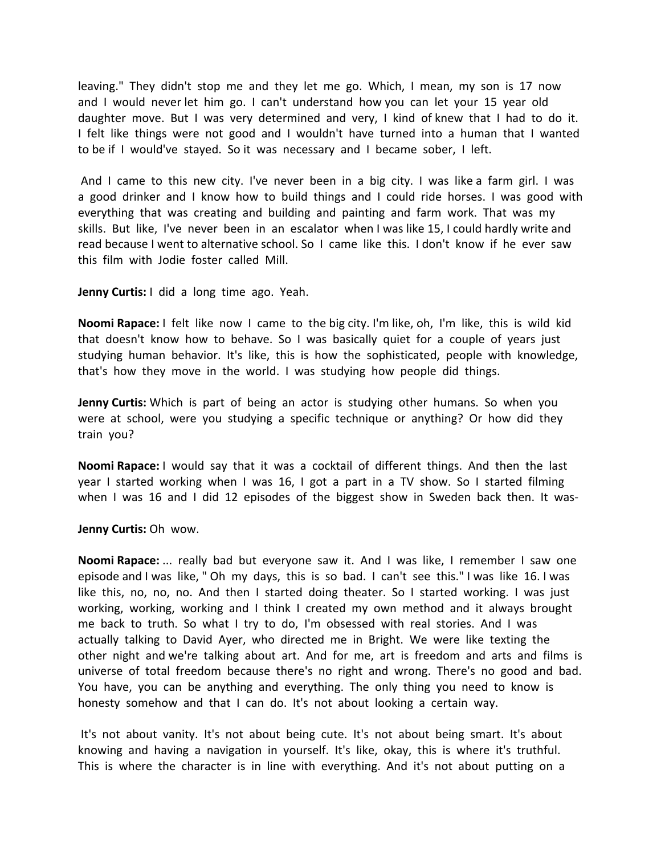leaving." They didn't stop me and they let me go. Which, I mean, my son is 17 now and I would never let him go. I can't understand how you can let your 15 year old daughter move. But I was very determined and very, I kind of knew that I had to do it. I felt like things were not good and I wouldn't have turned into a human that I wanted to be if I would've stayed. So it was necessary and I became sober, I left.

And I came to this new city. I've never been in a big city. I was like a farm girl. I was a good drinker and I know how to build things and I could ride horses. I was good with everything that was creating and building and painting and farm work. That was my skills. But like, I've never been in an escalator when I was like 15, I could hardly write and read because I went to alternative school. So I came like this. I don't know if he ever saw this film with Jodie foster called Mill.

**Jenny Curtis:** I did a long time ago. Yeah.

**Noomi Rapace:** I felt like now I came to the big city. I'm like, oh, I'm like, this is wild kid that doesn't know how to behave. So I was basically quiet for a couple of years just studying human behavior. It's like, this is how the sophisticated, people with knowledge, that's how they move in the world. I was studying how people did things.

**Jenny Curtis:** Which is part of being an actor is studying other humans. So when you were at school, were you studying a specific technique or anything? Or how did they train you?

**Noomi Rapace:** I would say that it was a cocktail of different things. And then the last year I started working when I was 16, I got a part in a TV show. So I started filming when I was 16 and I did 12 episodes of the biggest show in Sweden back then. It was-

**Jenny Curtis:** Oh wow.

**Noomi Rapace:** ... really bad but everyone saw it. And I was like, I remember I saw one episode and I was like, " Oh my days, this is so bad. I can't see this." I was like 16. I was like this, no, no, no. And then I started doing theater. So I started working. I was just working, working, working and I think I created my own method and it always brought me back to truth. So what I try to do, I'm obsessed with real stories. And I was actually talking to David Ayer, who directed me in Bright. We were like texting the other night and we're talking about art. And for me, art is freedom and arts and films is universe of total freedom because there's no right and wrong. There's no good and bad. You have, you can be anything and everything. The only thing you need to know is honesty somehow and that I can do. It's not about looking a certain way.

It's not about vanity. It's not about being cute. It's not about being smart. It's about knowing and having a navigation in yourself. It's like, okay, this is where it's truthful. This is where the character is in line with everything. And it's not about putting on a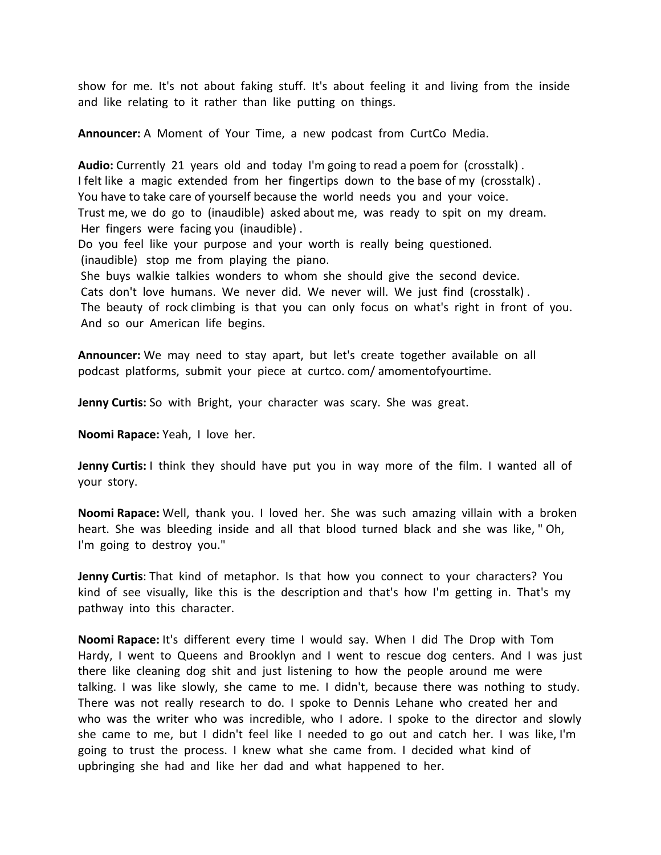show for me. It's not about faking stuff. It's about feeling it and living from the inside and like relating to it rather than like putting on things.

**Announcer:** A Moment of Your Time, a new podcast from CurtCo Media.

**Audio:** Currently 21 years old and today I'm going to read a poem for (crosstalk) . I felt like a magic extended from her fingertips down to the base of my (crosstalk) . You have to take care of yourself because the world needs you and your voice. Trust me, we do go to (inaudible) asked about me, was ready to spit on my dream. Her fingers were facing you (inaudible) .

Do you feel like your purpose and your worth is really being questioned. (inaudible) stop me from playing the piano.

She buys walkie talkies wonders to whom she should give the second device. Cats don't love humans. We never did. We never will. We just find (crosstalk) . The beauty of rock climbing is that you can only focus on what's right in front of you. And so our American life begins.

**Announcer:** We may need to stay apart, but let's create together available on all podcast platforms, submit your piece at curtco. com/ amomentofyourtime.

**Jenny Curtis:** So with Bright, your character was scary. She was great.

**Noomi Rapace:** Yeah, I love her.

**Jenny Curtis:** I think they should have put you in way more of the film. I wanted all of your story.

**Noomi Rapace:** Well, thank you. I loved her. She was such amazing villain with a broken heart. She was bleeding inside and all that blood turned black and she was like, " Oh, I'm going to destroy you."

**Jenny Curtis**: That kind of metaphor. Is that how you connect to your characters? You kind of see visually, like this is the description and that's how I'm getting in. That's my pathway into this character.

**Noomi Rapace:** It's different every time I would say. When I did The Drop with Tom Hardy, I went to Queens and Brooklyn and I went to rescue dog centers. And I was just there like cleaning dog shit and just listening to how the people around me were talking. I was like slowly, she came to me. I didn't, because there was nothing to study. There was not really research to do. I spoke to Dennis Lehane who created her and who was the writer who was incredible, who I adore. I spoke to the director and slowly she came to me, but I didn't feel like I needed to go out and catch her. I was like, I'm going to trust the process. I knew what she came from. I decided what kind of upbringing she had and like her dad and what happened to her.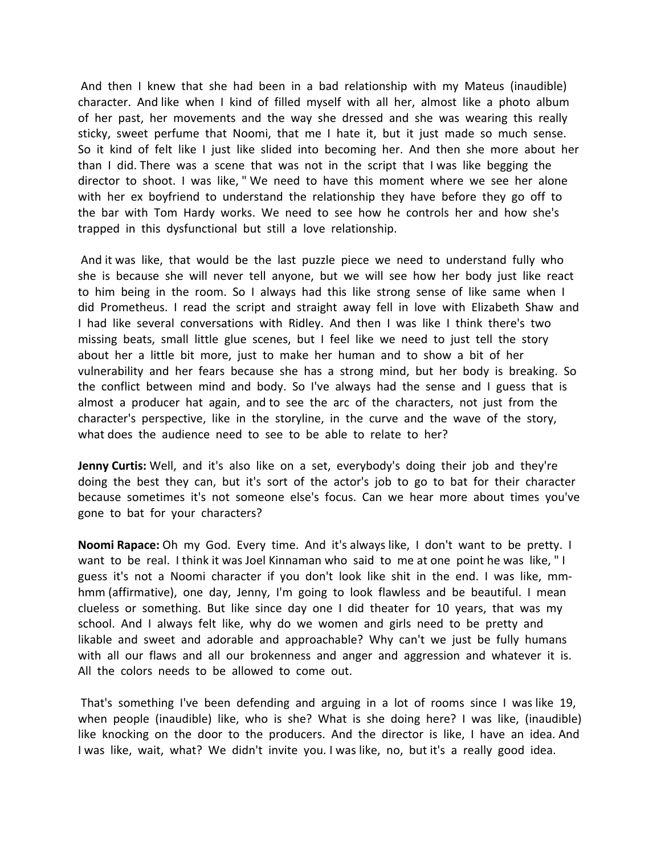And then I knew that she had been in a bad relationship with my Mateus (inaudible) character. And like when I kind of filled myself with all her, almost like a photo album of her past, her movements and the way she dressed and she was wearing this really sticky, sweet perfume that Noomi, that me I hate it, but it just made so much sense. So it kind of felt like I just like slided into becoming her. And then she more about her than I did. There was a scene that was not in the script that I was like begging the director to shoot. I was like, " We need to have this moment where we see her alone with her ex boyfriend to understand the relationship they have before they go off to the bar with Tom Hardy works. We need to see how he controls her and how she's trapped in this dysfunctional but still a love relationship.

And it was like, that would be the last puzzle piece we need to understand fully who she is because she will never tell anyone, but we will see how her body just like react to him being in the room. So I always had this like strong sense of like same when I did Prometheus. I read the script and straight away fell in love with Elizabeth Shaw and I had like several conversations with Ridley. And then I was like I think there's two missing beats, small little glue scenes, but I feel like we need to just tell the story about her a little bit more, just to make her human and to show a bit of her vulnerability and her fears because she has a strong mind, but her body is breaking. So the conflict between mind and body. So I've always had the sense and I guess that is almost a producer hat again, and to see the arc of the characters, not just from the character's perspective, like in the storyline, in the curve and the wave of the story, what does the audience need to see to be able to relate to her?

**Jenny Curtis:** Well, and it's also like on a set, everybody's doing their job and they're doing the best they can, but it's sort of the actor's job to go to bat for their character because sometimes it's not someone else's focus. Can we hear more about times you've gone to bat for your characters?

**Noomi Rapace:** Oh my God. Every time. And it's always like, I don't want to be pretty. I want to be real. I think it was Joel Kinnaman who said to me at one point he was like, " I guess it's not a Noomi character if you don't look like shit in the end. I was like, mmhmm (affirmative), one day, Jenny, I'm going to look flawless and be beautiful. I mean clueless or something. But like since day one I did theater for 10 years, that was my school. And I always felt like, why do we women and girls need to be pretty and likable and sweet and adorable and approachable? Why can't we just be fully humans with all our flaws and all our brokenness and anger and aggression and whatever it is. All the colors needs to be allowed to come out.

That's something I've been defending and arguing in a lot of rooms since I was like 19, when people (inaudible) like, who is she? What is she doing here? I was like, (inaudible) like knocking on the door to the producers. And the director is like, I have an idea. And I was like, wait, what? We didn't invite you. I was like, no, but it's a really good idea.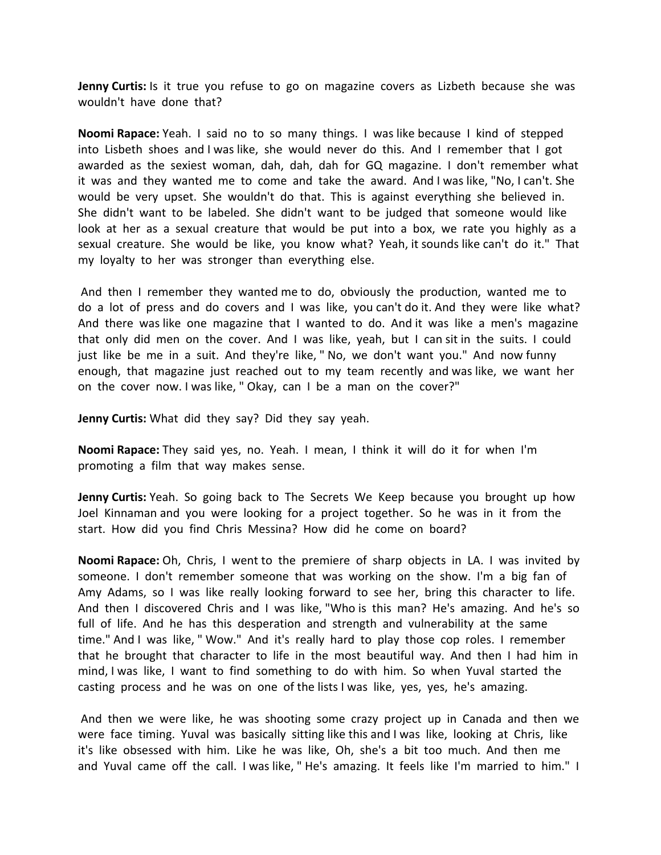**Jenny Curtis:** Is it true you refuse to go on magazine covers as Lizbeth because she was wouldn't have done that?

**Noomi Rapace:** Yeah. I said no to so many things. I was like because I kind of stepped into Lisbeth shoes and I was like, she would never do this. And I remember that I got awarded as the sexiest woman, dah, dah, dah for GQ magazine. I don't remember what it was and they wanted me to come and take the award. And I was like, "No, I can't. She would be very upset. She wouldn't do that. This is against everything she believed in. She didn't want to be labeled. She didn't want to be judged that someone would like look at her as a sexual creature that would be put into a box, we rate you highly as a sexual creature. She would be like, you know what? Yeah, it sounds like can't do it." That my loyalty to her was stronger than everything else.

And then I remember they wanted me to do, obviously the production, wanted me to do a lot of press and do covers and I was like, you can't do it. And they were like what? And there was like one magazine that I wanted to do. And it was like a men's magazine that only did men on the cover. And I was like, yeah, but I can sit in the suits. I could just like be me in a suit. And they're like, " No, we don't want you." And now funny enough, that magazine just reached out to my team recently and was like, we want her on the cover now. I was like, " Okay, can I be a man on the cover?"

**Jenny Curtis:** What did they say? Did they say yeah.

**Noomi Rapace:** They said yes, no. Yeah. I mean, I think it will do it for when I'm promoting a film that way makes sense.

**Jenny Curtis:** Yeah. So going back to The Secrets We Keep because you brought up how Joel Kinnaman and you were looking for a project together. So he was in it from the start. How did you find Chris Messina? How did he come on board?

**Noomi Rapace:** Oh, Chris, I went to the premiere of sharp objects in LA. I was invited by someone. I don't remember someone that was working on the show. I'm a big fan of Amy Adams, so I was like really looking forward to see her, bring this character to life. And then I discovered Chris and I was like, "Who is this man? He's amazing. And he's so full of life. And he has this desperation and strength and vulnerability at the same time." And I was like, " Wow." And it's really hard to play those cop roles. I remember that he brought that character to life in the most beautiful way. And then I had him in mind, I was like, I want to find something to do with him. So when Yuval started the casting process and he was on one of the lists I was like, yes, yes, he's amazing.

And then we were like, he was shooting some crazy project up in Canada and then we were face timing. Yuval was basically sitting like this and I was like, looking at Chris, like it's like obsessed with him. Like he was like, Oh, she's a bit too much. And then me and Yuval came off the call. I was like, " He's amazing. It feels like I'm married to him." I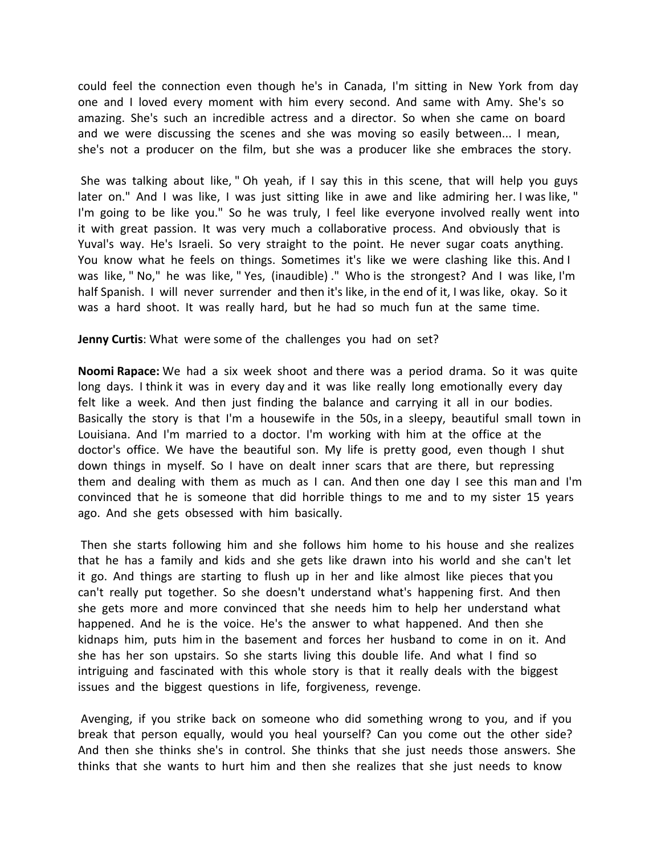could feel the connection even though he's in Canada, I'm sitting in New York from day one and I loved every moment with him every second. And same with Amy. She's so amazing. She's such an incredible actress and a director. So when she came on board and we were discussing the scenes and she was moving so easily between... I mean, she's not a producer on the film, but she was a producer like she embraces the story.

She was talking about like, " Oh yeah, if I say this in this scene, that will help you guys later on." And I was like, I was just sitting like in awe and like admiring her. I was like, " I'm going to be like you." So he was truly, I feel like everyone involved really went into it with great passion. It was very much a collaborative process. And obviously that is Yuval's way. He's Israeli. So very straight to the point. He never sugar coats anything. You know what he feels on things. Sometimes it's like we were clashing like this. And I was like, " No," he was like, " Yes, (inaudible) ." Who is the strongest? And I was like, I'm half Spanish. I will never surrender and then it's like, in the end of it, I was like, okay. So it was a hard shoot. It was really hard, but he had so much fun at the same time.

**Jenny Curtis**: What were some of the challenges you had on set?

**Noomi Rapace:** We had a six week shoot and there was a period drama. So it was quite long days. I think it was in every day and it was like really long emotionally every day felt like a week. And then just finding the balance and carrying it all in our bodies. Basically the story is that I'm a housewife in the 50s, in a sleepy, beautiful small town in Louisiana. And I'm married to a doctor. I'm working with him at the office at the doctor's office. We have the beautiful son. My life is pretty good, even though I shut down things in myself. So I have on dealt inner scars that are there, but repressing them and dealing with them as much as I can. And then one day I see this man and I'm convinced that he is someone that did horrible things to me and to my sister 15 years ago. And she gets obsessed with him basically.

Then she starts following him and she follows him home to his house and she realizes that he has a family and kids and she gets like drawn into his world and she can't let it go. And things are starting to flush up in her and like almost like pieces that you can't really put together. So she doesn't understand what's happening first. And then she gets more and more convinced that she needs him to help her understand what happened. And he is the voice. He's the answer to what happened. And then she kidnaps him, puts him in the basement and forces her husband to come in on it. And she has her son upstairs. So she starts living this double life. And what I find so intriguing and fascinated with this whole story is that it really deals with the biggest issues and the biggest questions in life, forgiveness, revenge.

Avenging, if you strike back on someone who did something wrong to you, and if you break that person equally, would you heal yourself? Can you come out the other side? And then she thinks she's in control. She thinks that she just needs those answers. She thinks that she wants to hurt him and then she realizes that she just needs to know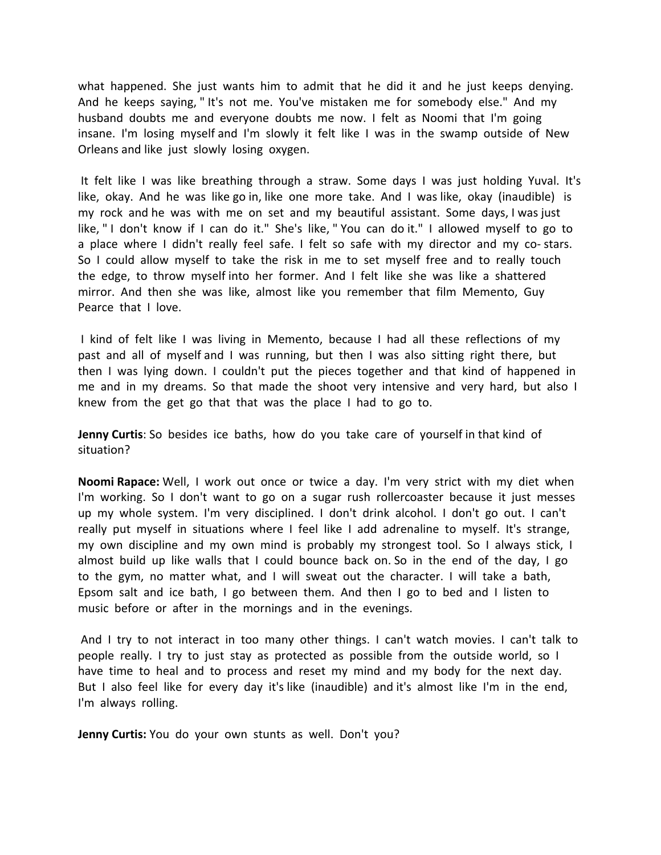what happened. She just wants him to admit that he did it and he just keeps denying. And he keeps saying, " It's not me. You've mistaken me for somebody else." And my husband doubts me and everyone doubts me now. I felt as Noomi that I'm going insane. I'm losing myself and I'm slowly it felt like I was in the swamp outside of New Orleans and like just slowly losing oxygen.

It felt like I was like breathing through a straw. Some days I was just holding Yuval. It's like, okay. And he was like go in, like one more take. And I was like, okay (inaudible) is my rock and he was with me on set and my beautiful assistant. Some days, I was just like, " I don't know if I can do it." She's like, " You can do it." I allowed myself to go to a place where I didn't really feel safe. I felt so safe with my director and my co- stars. So I could allow myself to take the risk in me to set myself free and to really touch the edge, to throw myself into her former. And I felt like she was like a shattered mirror. And then she was like, almost like you remember that film Memento, Guy Pearce that I love.

I kind of felt like I was living in Memento, because I had all these reflections of my past and all of myself and I was running, but then I was also sitting right there, but then I was lying down. I couldn't put the pieces together and that kind of happened in me and in my dreams. So that made the shoot very intensive and very hard, but also I knew from the get go that that was the place I had to go to.

**Jenny Curtis**: So besides ice baths, how do you take care of yourself in that kind of situation?

**Noomi Rapace:** Well, I work out once or twice a day. I'm very strict with my diet when I'm working. So I don't want to go on a sugar rush rollercoaster because it just messes up my whole system. I'm very disciplined. I don't drink alcohol. I don't go out. I can't really put myself in situations where I feel like I add adrenaline to myself. It's strange, my own discipline and my own mind is probably my strongest tool. So I always stick, I almost build up like walls that I could bounce back on. So in the end of the day, I go to the gym, no matter what, and I will sweat out the character. I will take a bath, Epsom salt and ice bath, I go between them. And then I go to bed and I listen to music before or after in the mornings and in the evenings.

And I try to not interact in too many other things. I can't watch movies. I can't talk to people really. I try to just stay as protected as possible from the outside world, so I have time to heal and to process and reset my mind and my body for the next day. But I also feel like for every day it's like (inaudible) and it's almost like I'm in the end, I'm always rolling.

**Jenny Curtis:** You do your own stunts as well. Don't you?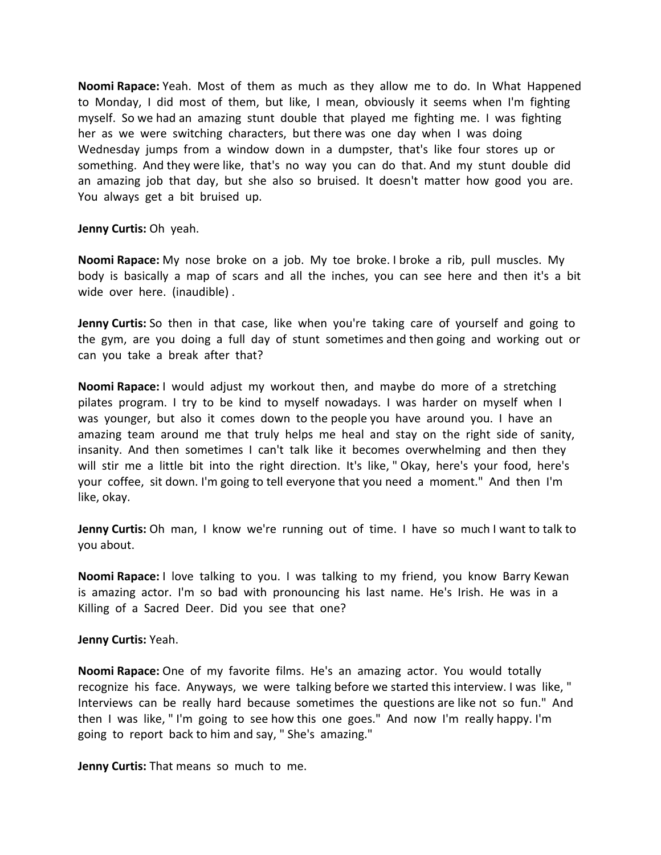**Noomi Rapace:** Yeah. Most of them as much as they allow me to do. In What Happened to Monday, I did most of them, but like, I mean, obviously it seems when I'm fighting myself. So we had an amazing stunt double that played me fighting me. I was fighting her as we were switching characters, but there was one day when I was doing Wednesday jumps from a window down in a dumpster, that's like four stores up or something. And they were like, that's no way you can do that. And my stunt double did an amazing job that day, but she also so bruised. It doesn't matter how good you are. You always get a bit bruised up.

**Jenny Curtis:** Oh yeah.

**Noomi Rapace:** My nose broke on a job. My toe broke. I broke a rib, pull muscles. My body is basically a map of scars and all the inches, you can see here and then it's a bit wide over here. (inaudible) .

**Jenny Curtis:** So then in that case, like when you're taking care of yourself and going to the gym, are you doing a full day of stunt sometimes and then going and working out or can you take a break after that?

**Noomi Rapace:** I would adjust my workout then, and maybe do more of a stretching pilates program. I try to be kind to myself nowadays. I was harder on myself when I was younger, but also it comes down to the people you have around you. I have an amazing team around me that truly helps me heal and stay on the right side of sanity, insanity. And then sometimes I can't talk like it becomes overwhelming and then they will stir me a little bit into the right direction. It's like, " Okay, here's your food, here's your coffee, sit down. I'm going to tell everyone that you need a moment." And then I'm like, okay.

**Jenny Curtis:** Oh man, I know we're running out of time. I have so much I want to talk to you about.

**Noomi Rapace:** I love talking to you. I was talking to my friend, you know Barry Kewan is amazing actor. I'm so bad with pronouncing his last name. He's Irish. He was in a Killing of a Sacred Deer. Did you see that one?

**Jenny Curtis:** Yeah.

**Noomi Rapace:** One of my favorite films. He's an amazing actor. You would totally recognize his face. Anyways, we were talking before we started this interview. I was like, " Interviews can be really hard because sometimes the questions are like not so fun." And then I was like, " I'm going to see how this one goes." And now I'm really happy. I'm going to report back to him and say, " She's amazing."

**Jenny Curtis:** That means so much to me.